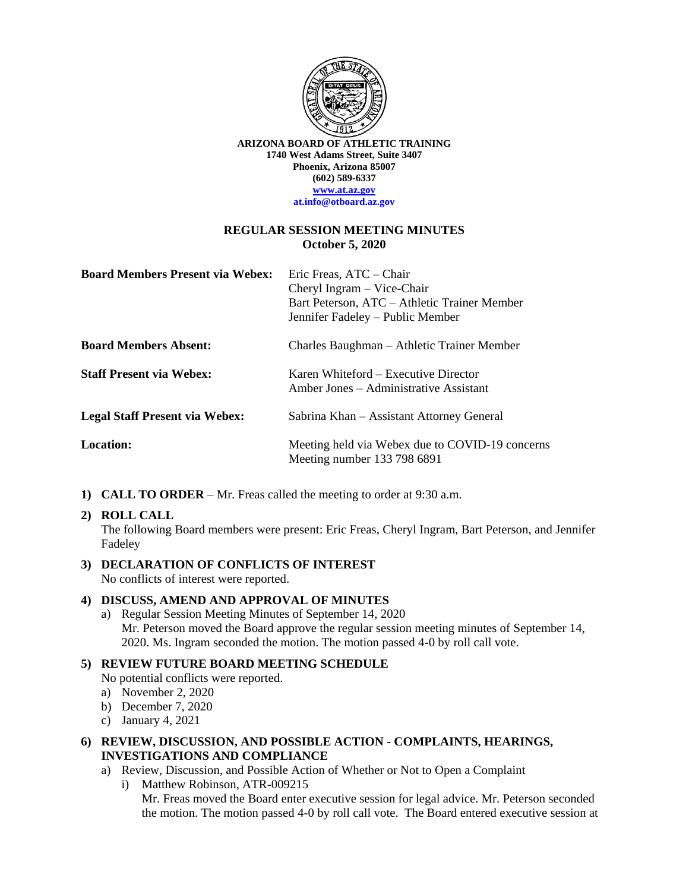

**ARIZONA BOARD OF ATHLETIC TRAINING 1740 West Adams Street, Suite 3407 Phoenix, Arizona 85007 (602) 589-6337 [www.at.az.gov](http://www.at.az.gov/) at.info@otboard.az.gov**

#### **REGULAR SESSION MEETING MINUTES October 5, 2020**

| <b>Board Members Present via Webex:</b> | Eric Freas, ATC - Chair<br>Cheryl Ingram $-$ Vice-Chair<br>Bart Peterson, ATC – Athletic Trainer Member<br>Jennifer Fadeley – Public Member |
|-----------------------------------------|---------------------------------------------------------------------------------------------------------------------------------------------|
| <b>Board Members Absent:</b>            | Charles Baughman – Athletic Trainer Member                                                                                                  |
| <b>Staff Present via Webex:</b>         | Karen Whiteford – Executive Director<br>Amber Jones – Administrative Assistant                                                              |
| <b>Legal Staff Present via Webex:</b>   | Sabrina Khan – Assistant Attorney General                                                                                                   |
| Location:                               | Meeting held via Webex due to COVID-19 concerns<br>Meeting number 133 798 6891                                                              |

**1) CALL TO ORDER** – Mr. Freas called the meeting to order at 9:30 a.m.

#### **2) ROLL CALL**

The following Board members were present: Eric Freas, Cheryl Ingram, Bart Peterson, and Jennifer Fadeley

#### **3) DECLARATION OF CONFLICTS OF INTEREST** No conflicts of interest were reported.

#### **4) DISCUSS, AMEND AND APPROVAL OF MINUTES**

a) Regular Session Meeting Minutes of September 14, 2020 Mr. Peterson moved the Board approve the regular session meeting minutes of September 14, 2020. Ms. Ingram seconded the motion. The motion passed 4-0 by roll call vote.

### **5) REVIEW FUTURE BOARD MEETING SCHEDULE**

No potential conflicts were reported.

- a) November 2, 2020
- b) December 7, 2020
- c) January 4, 2021
- **6) REVIEW, DISCUSSION, AND POSSIBLE ACTION - COMPLAINTS, HEARINGS, INVESTIGATIONS AND COMPLIANCE**
	- a) Review, Discussion, and Possible Action of Whether or Not to Open a Complaint
		- i) Matthew Robinson, ATR-009215 Mr. Freas moved the Board enter executive session for legal advice. Mr. Peterson seconded the motion. The motion passed 4-0 by roll call vote. The Board entered executive session at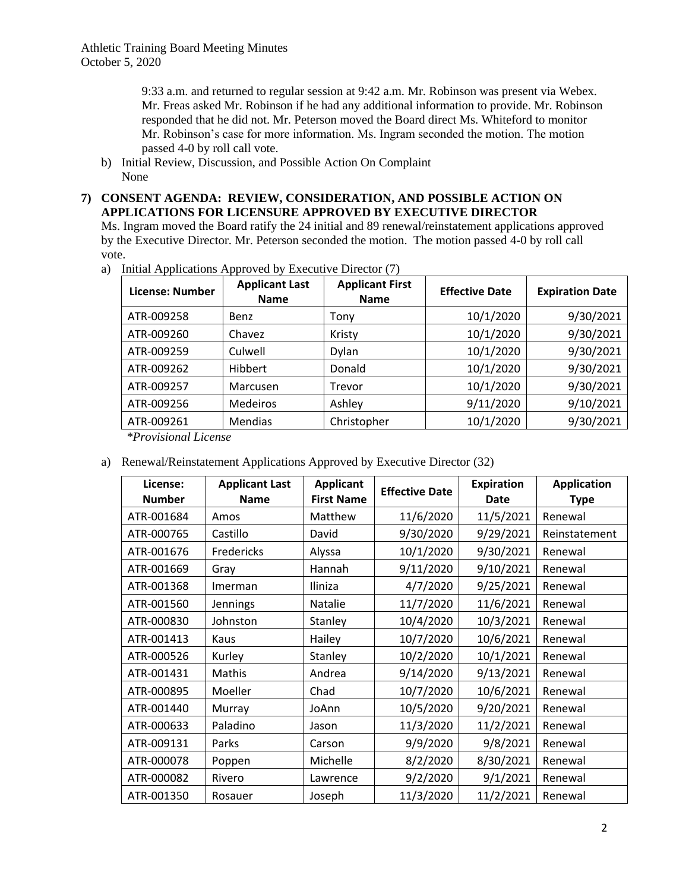9:33 a.m. and returned to regular session at 9:42 a.m. Mr. Robinson was present via Webex. Mr. Freas asked Mr. Robinson if he had any additional information to provide. Mr. Robinson responded that he did not. Mr. Peterson moved the Board direct Ms. Whiteford to monitor Mr. Robinson's case for more information. Ms. Ingram seconded the motion. The motion passed 4-0 by roll call vote.

b) Initial Review, Discussion, and Possible Action On Complaint None

## **7) CONSENT AGENDA: REVIEW, CONSIDERATION, AND POSSIBLE ACTION ON APPLICATIONS FOR LICENSURE APPROVED BY EXECUTIVE DIRECTOR**

Ms. Ingram moved the Board ratify the 24 initial and 89 renewal/reinstatement applications approved by the Executive Director. Mr. Peterson seconded the motion. The motion passed 4-0 by roll call vote.

a) Initial Applications Approved by Executive Director (7)

| License: Number | <b>Applicant Last</b><br><b>Name</b> | <b>Applicant First</b><br><b>Name</b> | <b>Effective Date</b> | <b>Expiration Date</b> |
|-----------------|--------------------------------------|---------------------------------------|-----------------------|------------------------|
| ATR-009258      | Benz                                 | Tony                                  | 10/1/2020             | 9/30/2021              |
| ATR-009260      | Chavez                               | Kristy                                | 10/1/2020             | 9/30/2021              |
| ATR-009259      | Culwell                              | <b>Dylan</b>                          | 10/1/2020             | 9/30/2021              |
| ATR-009262      | Hibbert                              | Donald                                | 10/1/2020             | 9/30/2021              |
| ATR-009257      | Marcusen                             | Trevor                                | 10/1/2020             | 9/30/2021              |
| ATR-009256      | Medeiros                             | Ashley                                | 9/11/2020             | 9/10/2021              |
| ATR-009261      | Mendias                              | Christopher                           | 10/1/2020             | 9/30/2021              |

*\*Provisional License*

a) Renewal/Reinstatement Applications Approved by Executive Director (32)

| License:<br><b>Number</b> | <b>Applicant Last</b><br><b>Name</b> | <b>Applicant</b><br><b>First Name</b> | <b>Effective Date</b> | <b>Expiration</b><br>Date | <b>Application</b><br><b>Type</b> |
|---------------------------|--------------------------------------|---------------------------------------|-----------------------|---------------------------|-----------------------------------|
| ATR-001684                | Amos                                 | Matthew                               | 11/6/2020             | 11/5/2021                 | Renewal                           |
| ATR-000765                | Castillo                             | David                                 | 9/30/2020             | 9/29/2021                 | Reinstatement                     |
| ATR-001676                | Fredericks                           | Alyssa                                | 10/1/2020             | 9/30/2021                 | Renewal                           |
| ATR-001669                | Gray                                 | Hannah                                | 9/11/2020             | 9/10/2021                 | Renewal                           |
| ATR-001368                | Imerman                              | Iliniza                               | 4/7/2020              | 9/25/2021                 | Renewal                           |
| ATR-001560                | Jennings                             | Natalie                               | 11/7/2020             | 11/6/2021                 | Renewal                           |
| ATR-000830                | Johnston                             | Stanley                               | 10/4/2020             | 10/3/2021                 | Renewal                           |
| ATR-001413                | Kaus                                 | Hailey                                | 10/7/2020             | 10/6/2021                 | Renewal                           |
| ATR-000526                | Kurley                               | Stanley                               | 10/2/2020             | 10/1/2021                 | Renewal                           |
| ATR-001431                | Mathis                               | Andrea                                | 9/14/2020             | 9/13/2021                 | Renewal                           |
| ATR-000895                | Moeller                              | Chad                                  | 10/7/2020             | 10/6/2021                 | Renewal                           |
| ATR-001440                | Murray                               | JoAnn                                 | 10/5/2020             | 9/20/2021                 | Renewal                           |
| ATR-000633                | Paladino                             | Jason                                 | 11/3/2020             | 11/2/2021                 | Renewal                           |
| ATR-009131                | Parks                                | Carson                                | 9/9/2020              | 9/8/2021                  | Renewal                           |
| ATR-000078                | Poppen                               | Michelle                              | 8/2/2020              | 8/30/2021                 | Renewal                           |
| ATR-000082                | Rivero                               | Lawrence                              | 9/2/2020              | 9/1/2021                  | Renewal                           |
| ATR-001350                | Rosauer                              | Joseph                                | 11/3/2020             | 11/2/2021                 | Renewal                           |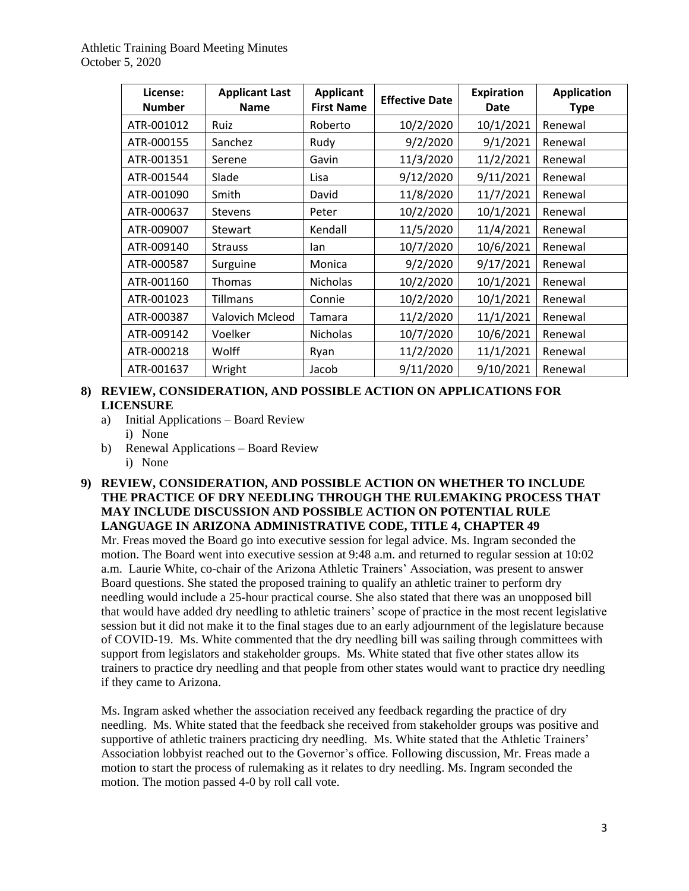| License:<br><b>Number</b> | <b>Applicant Last</b><br><b>Name</b> | <b>Applicant</b><br><b>First Name</b> | <b>Effective Date</b> | <b>Expiration</b><br><b>Date</b> | <b>Application</b><br><b>Type</b> |
|---------------------------|--------------------------------------|---------------------------------------|-----------------------|----------------------------------|-----------------------------------|
| ATR-001012                | Ruiz                                 | Roberto                               | 10/2/2020             | 10/1/2021                        | Renewal                           |
| ATR-000155                | Sanchez                              | Rudy                                  | 9/2/2020              | 9/1/2021                         | Renewal                           |
| ATR-001351                | Serene                               | Gavin                                 | 11/3/2020             | 11/2/2021                        | Renewal                           |
| ATR-001544                | Slade                                | Lisa                                  | 9/12/2020             | 9/11/2021                        | Renewal                           |
| ATR-001090                | Smith                                | David                                 | 11/8/2020             | 11/7/2021                        | Renewal                           |
| ATR-000637                | <b>Stevens</b>                       | Peter                                 | 10/2/2020             | 10/1/2021                        | Renewal                           |
| ATR-009007                | <b>Stewart</b>                       | Kendall                               | 11/5/2020             | 11/4/2021                        | Renewal                           |
| ATR-009140                | <b>Strauss</b>                       | lan                                   | 10/7/2020             | 10/6/2021                        | Renewal                           |
| ATR-000587                | Surguine                             | Monica                                | 9/2/2020              | 9/17/2021                        | Renewal                           |
| ATR-001160                | <b>Thomas</b>                        | Nicholas                              | 10/2/2020             | 10/1/2021                        | Renewal                           |
| ATR-001023                | Tillmans                             | Connie                                | 10/2/2020             | 10/1/2021                        | Renewal                           |
| ATR-000387                | Valovich Mcleod                      | Tamara                                | 11/2/2020             | 11/1/2021                        | Renewal                           |
| ATR-009142                | Voelker                              | <b>Nicholas</b>                       | 10/7/2020             | 10/6/2021                        | Renewal                           |
| ATR-000218                | Wolff                                | Ryan                                  | 11/2/2020             | 11/1/2021                        | Renewal                           |
| ATR-001637                | Wright                               | Jacob                                 | 9/11/2020             | 9/10/2021                        | Renewal                           |

### **8) REVIEW, CONSIDERATION, AND POSSIBLE ACTION ON APPLICATIONS FOR LICENSURE**

- a) Initial Applications Board Review
	- i) None
- b) Renewal Applications Board Review
	- i) None

# **9) REVIEW, CONSIDERATION, AND POSSIBLE ACTION ON WHETHER TO INCLUDE THE PRACTICE OF DRY NEEDLING THROUGH THE RULEMAKING PROCESS THAT MAY INCLUDE DISCUSSION AND POSSIBLE ACTION ON POTENTIAL RULE LANGUAGE IN ARIZONA ADMINISTRATIVE CODE, TITLE 4, CHAPTER 49**

Mr. Freas moved the Board go into executive session for legal advice. Ms. Ingram seconded the motion. The Board went into executive session at 9:48 a.m. and returned to regular session at 10:02 a.m. Laurie White, co-chair of the Arizona Athletic Trainers' Association, was present to answer Board questions. She stated the proposed training to qualify an athletic trainer to perform dry needling would include a 25-hour practical course. She also stated that there was an unopposed bill that would have added dry needling to athletic trainers' scope of practice in the most recent legislative session but it did not make it to the final stages due to an early adjournment of the legislature because of COVID-19. Ms. White commented that the dry needling bill was sailing through committees with support from legislators and stakeholder groups. Ms. White stated that five other states allow its trainers to practice dry needling and that people from other states would want to practice dry needling if they came to Arizona.

Ms. Ingram asked whether the association received any feedback regarding the practice of dry needling. Ms. White stated that the feedback she received from stakeholder groups was positive and supportive of athletic trainers practicing dry needling. Ms. White stated that the Athletic Trainers' Association lobbyist reached out to the Governor's office. Following discussion, Mr. Freas made a motion to start the process of rulemaking as it relates to dry needling. Ms. Ingram seconded the motion. The motion passed 4-0 by roll call vote.